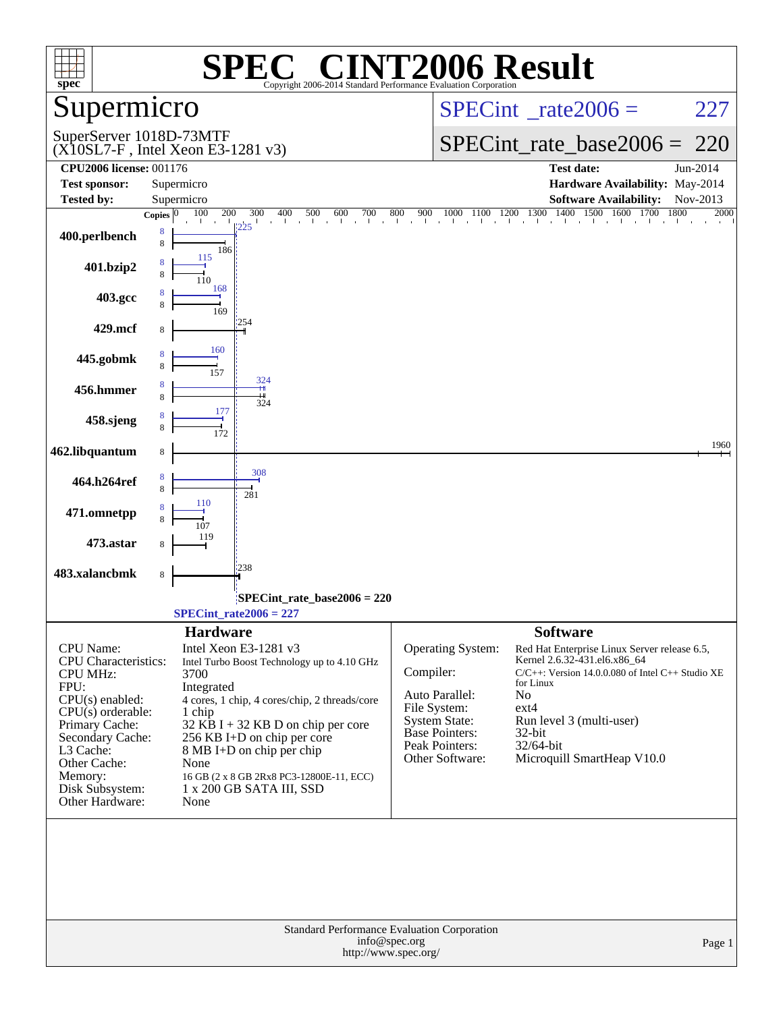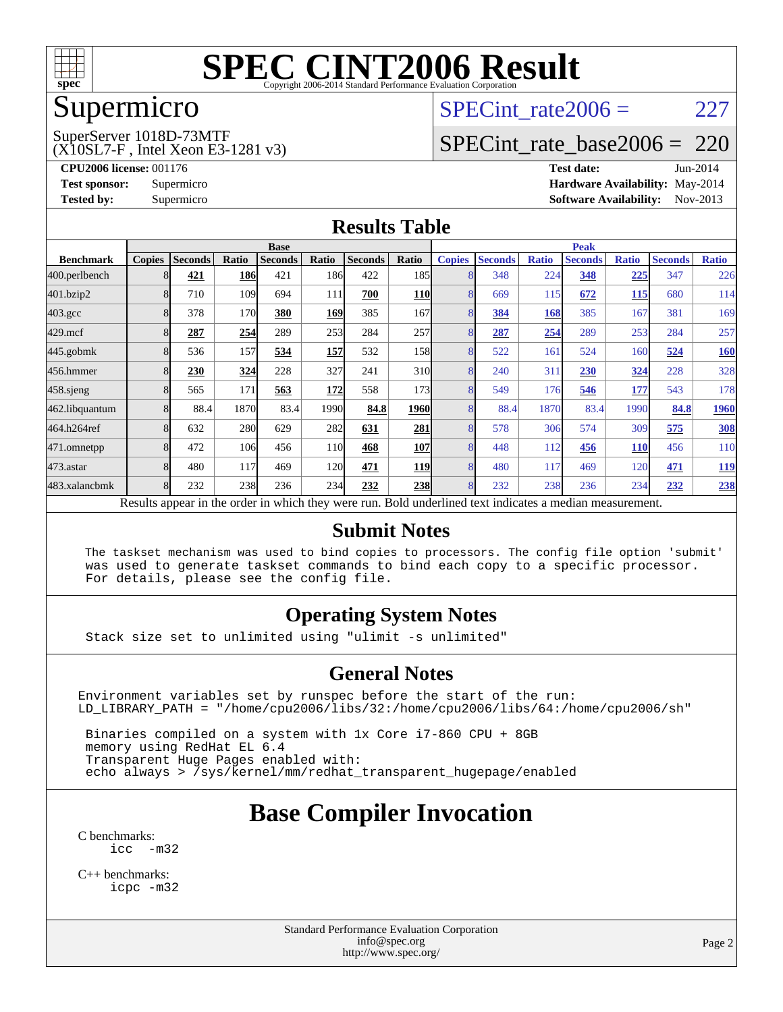

## Supermicro

#### SuperServer 1018D-73MTF

(X10SL7-F , Intel Xeon E3-1281 v3)

SPECint rate $2006 = 227$ 

## [SPECint\\_rate\\_base2006 =](http://www.spec.org/auto/cpu2006/Docs/result-fields.html#SPECintratebase2006) 220

**[CPU2006 license:](http://www.spec.org/auto/cpu2006/Docs/result-fields.html#CPU2006license)** 001176 **[Test date:](http://www.spec.org/auto/cpu2006/Docs/result-fields.html#Testdate)** Jun-2014 **[Test sponsor:](http://www.spec.org/auto/cpu2006/Docs/result-fields.html#Testsponsor)** Supermicro Supermicro **[Hardware Availability:](http://www.spec.org/auto/cpu2006/Docs/result-fields.html#HardwareAvailability)** May-2014 **[Tested by:](http://www.spec.org/auto/cpu2006/Docs/result-fields.html#Testedby)** Supermicro **Supermicro [Software Availability:](http://www.spec.org/auto/cpu2006/Docs/result-fields.html#SoftwareAvailability)** Nov-2013

#### **[Results Table](http://www.spec.org/auto/cpu2006/Docs/result-fields.html#ResultsTable)**

|                  | <b>Base</b>   |                |            |                                                   |       |                |            | <b>Peak</b>   |                                                            |              |                |              |                |              |
|------------------|---------------|----------------|------------|---------------------------------------------------|-------|----------------|------------|---------------|------------------------------------------------------------|--------------|----------------|--------------|----------------|--------------|
| <b>Benchmark</b> | <b>Copies</b> | <b>Seconds</b> | Ratio      | <b>Seconds</b>                                    | Ratio | <b>Seconds</b> | Ratio      | <b>Copies</b> | <b>Seconds</b>                                             | <b>Ratio</b> | <b>Seconds</b> | <b>Ratio</b> | <b>Seconds</b> | <b>Ratio</b> |
| 400.perlbench    |               | 421            | <b>186</b> | 421                                               | 186   | 422            | 185        |               | 348                                                        | 224          | 348            | <u>225</u>   | 347            | 226          |
| 401.bzip2        |               | 710            | 109        | 694                                               | 111   | 700            | <b>110</b> | 8             | 669                                                        | 115          | 672            | 115          | 680            | 114          |
| $403.\text{gcc}$ |               | 378            | 170        | 380                                               | 169   | 385            | 167        | 8             | 384                                                        | 168          | 385            | 167          | 381            | 169          |
| $429$ .mcf       |               | 287            | 254        | 289                                               | 253   | 284            | 257        | 8             | 287                                                        | 254          | 289            | 253          | 284            | 257          |
| $445$ .gobmk     |               | 536            | 157        | 534                                               | 157   | 532            | 158        | 8             | 522                                                        | 161          | 524            | 160          | 524            | <u>160</u>   |
| 456.hmmer        |               | 230            | 324        | 228                                               | 327   | 241            | 310        | 8             | 240                                                        | 311          | 230            | 324          | 228            | 328          |
| 458.sjeng        |               | 565            | 171        | 563                                               | 172   | 558            | 1731       | 8             | 549                                                        | 176          | 546            | 177          | 543            | 178          |
| 462.libquantum   |               | 88.4           | 1870       | 83.4                                              | 1990  | 84.8           | 1960       | 8             | 88.4                                                       | 1870         | 83.4           | 1990         | 84.8           | 1960         |
| 464.h264ref      |               | 632            | 280        | 629                                               | 282   | 631            | 281        | 8             | 578                                                        | 306          | 574            | 309          | 575            | <b>308</b>   |
| 471.omnetpp      |               | 472            | 106        | 456                                               | 110   | 468            | <b>107</b> | 8             | 448                                                        | 112          | 456            | <b>110</b>   | 456            | 110          |
| $473$ . astar    |               | 480            | 117        | 469                                               | 120   | 471            | <b>119</b> | 8             | 480                                                        | 117          | 469            | 120          | 471            | <u>119</u>   |
| 483.xalancbmk    |               | 232            | 238        | 236                                               | 234   | 232            | <b>238</b> | 8             | 232                                                        | 238          | 236            | 234          | 232            | 238          |
|                  |               |                |            | Decute ennear in the order in which they were min |       |                |            |               | <b>Dold</b> underlined tout indicates a modian measurement |              |                |              |                |              |

Results appear in the [order in which they were run.](http://www.spec.org/auto/cpu2006/Docs/result-fields.html#RunOrder) Bold underlined text [indicates a median measurement.](http://www.spec.org/auto/cpu2006/Docs/result-fields.html#Median)

#### **[Submit Notes](http://www.spec.org/auto/cpu2006/Docs/result-fields.html#SubmitNotes)**

 The taskset mechanism was used to bind copies to processors. The config file option 'submit' was used to generate taskset commands to bind each copy to a specific processor. For details, please see the config file.

#### **[Operating System Notes](http://www.spec.org/auto/cpu2006/Docs/result-fields.html#OperatingSystemNotes)**

Stack size set to unlimited using "ulimit -s unlimited"

#### **[General Notes](http://www.spec.org/auto/cpu2006/Docs/result-fields.html#GeneralNotes)**

Environment variables set by runspec before the start of the run: LD\_LIBRARY\_PATH = "/home/cpu2006/libs/32:/home/cpu2006/libs/64:/home/cpu2006/sh"

 Binaries compiled on a system with 1x Core i7-860 CPU + 8GB memory using RedHat EL 6.4 Transparent Huge Pages enabled with: echo always > /sys/kernel/mm/redhat\_transparent\_hugepage/enabled

# **[Base Compiler Invocation](http://www.spec.org/auto/cpu2006/Docs/result-fields.html#BaseCompilerInvocation)**

[C benchmarks](http://www.spec.org/auto/cpu2006/Docs/result-fields.html#Cbenchmarks):  $inc -m32$ 

[C++ benchmarks:](http://www.spec.org/auto/cpu2006/Docs/result-fields.html#CXXbenchmarks) [icpc -m32](http://www.spec.org/cpu2006/results/res2014q3/cpu2006-20140617-29931.flags.html#user_CXXbase_intel_icpc_4e5a5ef1a53fd332b3c49e69c3330699)

> Standard Performance Evaluation Corporation [info@spec.org](mailto:info@spec.org) <http://www.spec.org/>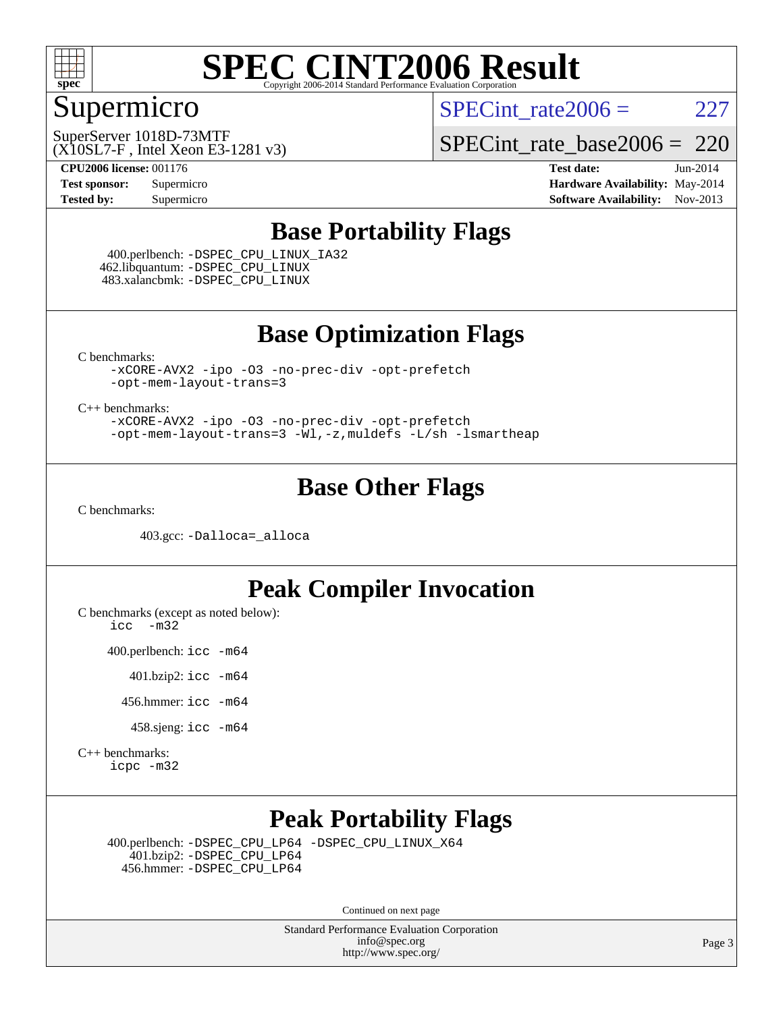

## Supermicro

SPECint rate $2006 = 227$ 

(X10SL7-F , Intel Xeon E3-1281 v3) SuperServer 1018D-73MTF

[SPECint\\_rate\\_base2006 =](http://www.spec.org/auto/cpu2006/Docs/result-fields.html#SPECintratebase2006) 220

**[CPU2006 license:](http://www.spec.org/auto/cpu2006/Docs/result-fields.html#CPU2006license)** 001176 **[Test date:](http://www.spec.org/auto/cpu2006/Docs/result-fields.html#Testdate)** Jun-2014 **[Test sponsor:](http://www.spec.org/auto/cpu2006/Docs/result-fields.html#Testsponsor)** Supermicro Supermicro **[Hardware Availability:](http://www.spec.org/auto/cpu2006/Docs/result-fields.html#HardwareAvailability)** May-2014 **[Tested by:](http://www.spec.org/auto/cpu2006/Docs/result-fields.html#Testedby)** Supermicro **Supermicro [Software Availability:](http://www.spec.org/auto/cpu2006/Docs/result-fields.html#SoftwareAvailability)** Nov-2013

### **[Base Portability Flags](http://www.spec.org/auto/cpu2006/Docs/result-fields.html#BasePortabilityFlags)**

 400.perlbench: [-DSPEC\\_CPU\\_LINUX\\_IA32](http://www.spec.org/cpu2006/results/res2014q3/cpu2006-20140617-29931.flags.html#b400.perlbench_baseCPORTABILITY_DSPEC_CPU_LINUX_IA32) 462.libquantum: [-DSPEC\\_CPU\\_LINUX](http://www.spec.org/cpu2006/results/res2014q3/cpu2006-20140617-29931.flags.html#b462.libquantum_baseCPORTABILITY_DSPEC_CPU_LINUX) 483.xalancbmk: [-DSPEC\\_CPU\\_LINUX](http://www.spec.org/cpu2006/results/res2014q3/cpu2006-20140617-29931.flags.html#b483.xalancbmk_baseCXXPORTABILITY_DSPEC_CPU_LINUX)

### **[Base Optimization Flags](http://www.spec.org/auto/cpu2006/Docs/result-fields.html#BaseOptimizationFlags)**

[C benchmarks](http://www.spec.org/auto/cpu2006/Docs/result-fields.html#Cbenchmarks):

[-xCORE-AVX2](http://www.spec.org/cpu2006/results/res2014q3/cpu2006-20140617-29931.flags.html#user_CCbase_f-xAVX2_5f5fc0cbe2c9f62c816d3e45806c70d7) [-ipo](http://www.spec.org/cpu2006/results/res2014q3/cpu2006-20140617-29931.flags.html#user_CCbase_f-ipo) [-O3](http://www.spec.org/cpu2006/results/res2014q3/cpu2006-20140617-29931.flags.html#user_CCbase_f-O3) [-no-prec-div](http://www.spec.org/cpu2006/results/res2014q3/cpu2006-20140617-29931.flags.html#user_CCbase_f-no-prec-div) [-opt-prefetch](http://www.spec.org/cpu2006/results/res2014q3/cpu2006-20140617-29931.flags.html#user_CCbase_f-opt-prefetch) [-opt-mem-layout-trans=3](http://www.spec.org/cpu2006/results/res2014q3/cpu2006-20140617-29931.flags.html#user_CCbase_f-opt-mem-layout-trans_a7b82ad4bd7abf52556d4961a2ae94d5)

[C++ benchmarks:](http://www.spec.org/auto/cpu2006/Docs/result-fields.html#CXXbenchmarks)

[-xCORE-AVX2](http://www.spec.org/cpu2006/results/res2014q3/cpu2006-20140617-29931.flags.html#user_CXXbase_f-xAVX2_5f5fc0cbe2c9f62c816d3e45806c70d7) [-ipo](http://www.spec.org/cpu2006/results/res2014q3/cpu2006-20140617-29931.flags.html#user_CXXbase_f-ipo) [-O3](http://www.spec.org/cpu2006/results/res2014q3/cpu2006-20140617-29931.flags.html#user_CXXbase_f-O3) [-no-prec-div](http://www.spec.org/cpu2006/results/res2014q3/cpu2006-20140617-29931.flags.html#user_CXXbase_f-no-prec-div) [-opt-prefetch](http://www.spec.org/cpu2006/results/res2014q3/cpu2006-20140617-29931.flags.html#user_CXXbase_f-opt-prefetch) [-opt-mem-layout-trans=3](http://www.spec.org/cpu2006/results/res2014q3/cpu2006-20140617-29931.flags.html#user_CXXbase_f-opt-mem-layout-trans_a7b82ad4bd7abf52556d4961a2ae94d5) [-Wl,-z,muldefs](http://www.spec.org/cpu2006/results/res2014q3/cpu2006-20140617-29931.flags.html#user_CXXbase_link_force_multiple1_74079c344b956b9658436fd1b6dd3a8a) [-L/sh -lsmartheap](http://www.spec.org/cpu2006/results/res2014q3/cpu2006-20140617-29931.flags.html#user_CXXbase_SmartHeap_32f6c82aa1ed9c52345d30cf6e4a0499)

### **[Base Other Flags](http://www.spec.org/auto/cpu2006/Docs/result-fields.html#BaseOtherFlags)**

[C benchmarks](http://www.spec.org/auto/cpu2006/Docs/result-fields.html#Cbenchmarks):

403.gcc: [-Dalloca=\\_alloca](http://www.spec.org/cpu2006/results/res2014q3/cpu2006-20140617-29931.flags.html#b403.gcc_baseEXTRA_CFLAGS_Dalloca_be3056838c12de2578596ca5467af7f3)

### **[Peak Compiler Invocation](http://www.spec.org/auto/cpu2006/Docs/result-fields.html#PeakCompilerInvocation)**

[C benchmarks \(except as noted below\)](http://www.spec.org/auto/cpu2006/Docs/result-fields.html#Cbenchmarksexceptasnotedbelow): [icc -m32](http://www.spec.org/cpu2006/results/res2014q3/cpu2006-20140617-29931.flags.html#user_CCpeak_intel_icc_5ff4a39e364c98233615fdd38438c6f2)

400.perlbench: [icc -m64](http://www.spec.org/cpu2006/results/res2014q3/cpu2006-20140617-29931.flags.html#user_peakCCLD400_perlbench_intel_icc_64bit_bda6cc9af1fdbb0edc3795bac97ada53)

401.bzip2: [icc -m64](http://www.spec.org/cpu2006/results/res2014q3/cpu2006-20140617-29931.flags.html#user_peakCCLD401_bzip2_intel_icc_64bit_bda6cc9af1fdbb0edc3795bac97ada53)

456.hmmer: [icc -m64](http://www.spec.org/cpu2006/results/res2014q3/cpu2006-20140617-29931.flags.html#user_peakCCLD456_hmmer_intel_icc_64bit_bda6cc9af1fdbb0edc3795bac97ada53)

458.sjeng: [icc -m64](http://www.spec.org/cpu2006/results/res2014q3/cpu2006-20140617-29931.flags.html#user_peakCCLD458_sjeng_intel_icc_64bit_bda6cc9af1fdbb0edc3795bac97ada53)

[C++ benchmarks:](http://www.spec.org/auto/cpu2006/Docs/result-fields.html#CXXbenchmarks) [icpc -m32](http://www.spec.org/cpu2006/results/res2014q3/cpu2006-20140617-29931.flags.html#user_CXXpeak_intel_icpc_4e5a5ef1a53fd332b3c49e69c3330699)

## **[Peak Portability Flags](http://www.spec.org/auto/cpu2006/Docs/result-fields.html#PeakPortabilityFlags)**

 400.perlbench: [-DSPEC\\_CPU\\_LP64](http://www.spec.org/cpu2006/results/res2014q3/cpu2006-20140617-29931.flags.html#b400.perlbench_peakCPORTABILITY_DSPEC_CPU_LP64) [-DSPEC\\_CPU\\_LINUX\\_X64](http://www.spec.org/cpu2006/results/res2014q3/cpu2006-20140617-29931.flags.html#b400.perlbench_peakCPORTABILITY_DSPEC_CPU_LINUX_X64) 401.bzip2: [-DSPEC\\_CPU\\_LP64](http://www.spec.org/cpu2006/results/res2014q3/cpu2006-20140617-29931.flags.html#suite_peakCPORTABILITY401_bzip2_DSPEC_CPU_LP64) 456.hmmer: [-DSPEC\\_CPU\\_LP64](http://www.spec.org/cpu2006/results/res2014q3/cpu2006-20140617-29931.flags.html#suite_peakCPORTABILITY456_hmmer_DSPEC_CPU_LP64)

Continued on next page

Standard Performance Evaluation Corporation [info@spec.org](mailto:info@spec.org) <http://www.spec.org/>

Page 3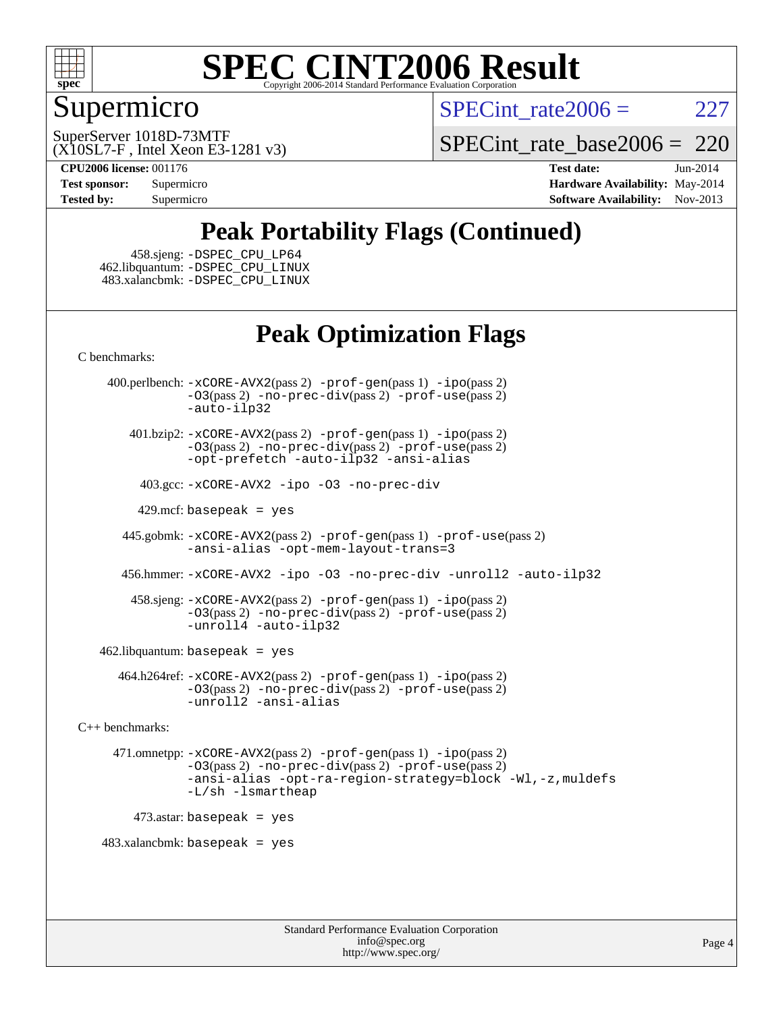

## Supermicro

SPECint rate $2006 = 227$ 

(X10SL7-F , Intel Xeon E3-1281 v3) SuperServer 1018D-73MTF

SPECint rate base2006 =  $220$ 

**[CPU2006 license:](http://www.spec.org/auto/cpu2006/Docs/result-fields.html#CPU2006license)** 001176 **[Test date:](http://www.spec.org/auto/cpu2006/Docs/result-fields.html#Testdate)** Jun-2014 **[Test sponsor:](http://www.spec.org/auto/cpu2006/Docs/result-fields.html#Testsponsor)** Supermicro Supermicro **[Hardware Availability:](http://www.spec.org/auto/cpu2006/Docs/result-fields.html#HardwareAvailability)** May-2014 **[Tested by:](http://www.spec.org/auto/cpu2006/Docs/result-fields.html#Testedby)** Supermicro **[Software Availability:](http://www.spec.org/auto/cpu2006/Docs/result-fields.html#SoftwareAvailability)** Nov-2013

# **[Peak Portability Flags \(Continued\)](http://www.spec.org/auto/cpu2006/Docs/result-fields.html#PeakPortabilityFlags)**

 458.sjeng: [-DSPEC\\_CPU\\_LP64](http://www.spec.org/cpu2006/results/res2014q3/cpu2006-20140617-29931.flags.html#suite_peakCPORTABILITY458_sjeng_DSPEC_CPU_LP64) 462.libquantum: [-DSPEC\\_CPU\\_LINUX](http://www.spec.org/cpu2006/results/res2014q3/cpu2006-20140617-29931.flags.html#b462.libquantum_peakCPORTABILITY_DSPEC_CPU_LINUX) 483.xalancbmk: [-DSPEC\\_CPU\\_LINUX](http://www.spec.org/cpu2006/results/res2014q3/cpu2006-20140617-29931.flags.html#b483.xalancbmk_peakCXXPORTABILITY_DSPEC_CPU_LINUX)

## **[Peak Optimization Flags](http://www.spec.org/auto/cpu2006/Docs/result-fields.html#PeakOptimizationFlags)**

[C benchmarks](http://www.spec.org/auto/cpu2006/Docs/result-fields.html#Cbenchmarks):

 400.perlbench: [-xCORE-AVX2](http://www.spec.org/cpu2006/results/res2014q3/cpu2006-20140617-29931.flags.html#user_peakPASS2_CFLAGSPASS2_LDCFLAGS400_perlbench_f-xAVX2_5f5fc0cbe2c9f62c816d3e45806c70d7)(pass 2) [-prof-gen](http://www.spec.org/cpu2006/results/res2014q3/cpu2006-20140617-29931.flags.html#user_peakPASS1_CFLAGSPASS1_LDCFLAGS400_perlbench_prof_gen_e43856698f6ca7b7e442dfd80e94a8fc)(pass 1) [-ipo](http://www.spec.org/cpu2006/results/res2014q3/cpu2006-20140617-29931.flags.html#user_peakPASS2_CFLAGSPASS2_LDCFLAGS400_perlbench_f-ipo)(pass 2) [-O3](http://www.spec.org/cpu2006/results/res2014q3/cpu2006-20140617-29931.flags.html#user_peakPASS2_CFLAGSPASS2_LDCFLAGS400_perlbench_f-O3)(pass 2) [-no-prec-div](http://www.spec.org/cpu2006/results/res2014q3/cpu2006-20140617-29931.flags.html#user_peakPASS2_CFLAGSPASS2_LDCFLAGS400_perlbench_f-no-prec-div)(pass 2) [-prof-use](http://www.spec.org/cpu2006/results/res2014q3/cpu2006-20140617-29931.flags.html#user_peakPASS2_CFLAGSPASS2_LDCFLAGS400_perlbench_prof_use_bccf7792157ff70d64e32fe3e1250b55)(pass 2) [-auto-ilp32](http://www.spec.org/cpu2006/results/res2014q3/cpu2006-20140617-29931.flags.html#user_peakCOPTIMIZE400_perlbench_f-auto-ilp32)

 401.bzip2: [-xCORE-AVX2](http://www.spec.org/cpu2006/results/res2014q3/cpu2006-20140617-29931.flags.html#user_peakPASS2_CFLAGSPASS2_LDCFLAGS401_bzip2_f-xAVX2_5f5fc0cbe2c9f62c816d3e45806c70d7)(pass 2) [-prof-gen](http://www.spec.org/cpu2006/results/res2014q3/cpu2006-20140617-29931.flags.html#user_peakPASS1_CFLAGSPASS1_LDCFLAGS401_bzip2_prof_gen_e43856698f6ca7b7e442dfd80e94a8fc)(pass 1) [-ipo](http://www.spec.org/cpu2006/results/res2014q3/cpu2006-20140617-29931.flags.html#user_peakPASS2_CFLAGSPASS2_LDCFLAGS401_bzip2_f-ipo)(pass 2) [-O3](http://www.spec.org/cpu2006/results/res2014q3/cpu2006-20140617-29931.flags.html#user_peakPASS2_CFLAGSPASS2_LDCFLAGS401_bzip2_f-O3)(pass 2) [-no-prec-div](http://www.spec.org/cpu2006/results/res2014q3/cpu2006-20140617-29931.flags.html#user_peakPASS2_CFLAGSPASS2_LDCFLAGS401_bzip2_f-no-prec-div)(pass 2) [-prof-use](http://www.spec.org/cpu2006/results/res2014q3/cpu2006-20140617-29931.flags.html#user_peakPASS2_CFLAGSPASS2_LDCFLAGS401_bzip2_prof_use_bccf7792157ff70d64e32fe3e1250b55)(pass 2) [-opt-prefetch](http://www.spec.org/cpu2006/results/res2014q3/cpu2006-20140617-29931.flags.html#user_peakCOPTIMIZE401_bzip2_f-opt-prefetch) [-auto-ilp32](http://www.spec.org/cpu2006/results/res2014q3/cpu2006-20140617-29931.flags.html#user_peakCOPTIMIZE401_bzip2_f-auto-ilp32) [-ansi-alias](http://www.spec.org/cpu2006/results/res2014q3/cpu2006-20140617-29931.flags.html#user_peakCOPTIMIZE401_bzip2_f-ansi-alias)

403.gcc: [-xCORE-AVX2](http://www.spec.org/cpu2006/results/res2014q3/cpu2006-20140617-29931.flags.html#user_peakCOPTIMIZE403_gcc_f-xAVX2_5f5fc0cbe2c9f62c816d3e45806c70d7) [-ipo](http://www.spec.org/cpu2006/results/res2014q3/cpu2006-20140617-29931.flags.html#user_peakCOPTIMIZE403_gcc_f-ipo) [-O3](http://www.spec.org/cpu2006/results/res2014q3/cpu2006-20140617-29931.flags.html#user_peakCOPTIMIZE403_gcc_f-O3) [-no-prec-div](http://www.spec.org/cpu2006/results/res2014q3/cpu2006-20140617-29931.flags.html#user_peakCOPTIMIZE403_gcc_f-no-prec-div)

429.mcf: basepeak = yes

 445.gobmk: [-xCORE-AVX2](http://www.spec.org/cpu2006/results/res2014q3/cpu2006-20140617-29931.flags.html#user_peakPASS2_CFLAGSPASS2_LDCFLAGS445_gobmk_f-xAVX2_5f5fc0cbe2c9f62c816d3e45806c70d7)(pass 2) [-prof-gen](http://www.spec.org/cpu2006/results/res2014q3/cpu2006-20140617-29931.flags.html#user_peakPASS1_CFLAGSPASS1_LDCFLAGS445_gobmk_prof_gen_e43856698f6ca7b7e442dfd80e94a8fc)(pass 1) [-prof-use](http://www.spec.org/cpu2006/results/res2014q3/cpu2006-20140617-29931.flags.html#user_peakPASS2_CFLAGSPASS2_LDCFLAGS445_gobmk_prof_use_bccf7792157ff70d64e32fe3e1250b55)(pass 2) [-ansi-alias](http://www.spec.org/cpu2006/results/res2014q3/cpu2006-20140617-29931.flags.html#user_peakCOPTIMIZE445_gobmk_f-ansi-alias) [-opt-mem-layout-trans=3](http://www.spec.org/cpu2006/results/res2014q3/cpu2006-20140617-29931.flags.html#user_peakCOPTIMIZE445_gobmk_f-opt-mem-layout-trans_a7b82ad4bd7abf52556d4961a2ae94d5)

456.hmmer: [-xCORE-AVX2](http://www.spec.org/cpu2006/results/res2014q3/cpu2006-20140617-29931.flags.html#user_peakCOPTIMIZE456_hmmer_f-xAVX2_5f5fc0cbe2c9f62c816d3e45806c70d7) [-ipo](http://www.spec.org/cpu2006/results/res2014q3/cpu2006-20140617-29931.flags.html#user_peakCOPTIMIZE456_hmmer_f-ipo) [-O3](http://www.spec.org/cpu2006/results/res2014q3/cpu2006-20140617-29931.flags.html#user_peakCOPTIMIZE456_hmmer_f-O3) [-no-prec-div](http://www.spec.org/cpu2006/results/res2014q3/cpu2006-20140617-29931.flags.html#user_peakCOPTIMIZE456_hmmer_f-no-prec-div) [-unroll2](http://www.spec.org/cpu2006/results/res2014q3/cpu2006-20140617-29931.flags.html#user_peakCOPTIMIZE456_hmmer_f-unroll_784dae83bebfb236979b41d2422d7ec2) [-auto-ilp32](http://www.spec.org/cpu2006/results/res2014q3/cpu2006-20140617-29931.flags.html#user_peakCOPTIMIZE456_hmmer_f-auto-ilp32)

 458.sjeng: [-xCORE-AVX2](http://www.spec.org/cpu2006/results/res2014q3/cpu2006-20140617-29931.flags.html#user_peakPASS2_CFLAGSPASS2_LDCFLAGS458_sjeng_f-xAVX2_5f5fc0cbe2c9f62c816d3e45806c70d7)(pass 2) [-prof-gen](http://www.spec.org/cpu2006/results/res2014q3/cpu2006-20140617-29931.flags.html#user_peakPASS1_CFLAGSPASS1_LDCFLAGS458_sjeng_prof_gen_e43856698f6ca7b7e442dfd80e94a8fc)(pass 1) [-ipo](http://www.spec.org/cpu2006/results/res2014q3/cpu2006-20140617-29931.flags.html#user_peakPASS2_CFLAGSPASS2_LDCFLAGS458_sjeng_f-ipo)(pass 2) [-O3](http://www.spec.org/cpu2006/results/res2014q3/cpu2006-20140617-29931.flags.html#user_peakPASS2_CFLAGSPASS2_LDCFLAGS458_sjeng_f-O3)(pass 2) [-no-prec-div](http://www.spec.org/cpu2006/results/res2014q3/cpu2006-20140617-29931.flags.html#user_peakPASS2_CFLAGSPASS2_LDCFLAGS458_sjeng_f-no-prec-div)(pass 2) [-prof-use](http://www.spec.org/cpu2006/results/res2014q3/cpu2006-20140617-29931.flags.html#user_peakPASS2_CFLAGSPASS2_LDCFLAGS458_sjeng_prof_use_bccf7792157ff70d64e32fe3e1250b55)(pass 2) [-unroll4](http://www.spec.org/cpu2006/results/res2014q3/cpu2006-20140617-29931.flags.html#user_peakCOPTIMIZE458_sjeng_f-unroll_4e5e4ed65b7fd20bdcd365bec371b81f) [-auto-ilp32](http://www.spec.org/cpu2006/results/res2014q3/cpu2006-20140617-29931.flags.html#user_peakCOPTIMIZE458_sjeng_f-auto-ilp32)

462.libquantum: basepeak = yes

 464.h264ref: [-xCORE-AVX2](http://www.spec.org/cpu2006/results/res2014q3/cpu2006-20140617-29931.flags.html#user_peakPASS2_CFLAGSPASS2_LDCFLAGS464_h264ref_f-xAVX2_5f5fc0cbe2c9f62c816d3e45806c70d7)(pass 2) [-prof-gen](http://www.spec.org/cpu2006/results/res2014q3/cpu2006-20140617-29931.flags.html#user_peakPASS1_CFLAGSPASS1_LDCFLAGS464_h264ref_prof_gen_e43856698f6ca7b7e442dfd80e94a8fc)(pass 1) [-ipo](http://www.spec.org/cpu2006/results/res2014q3/cpu2006-20140617-29931.flags.html#user_peakPASS2_CFLAGSPASS2_LDCFLAGS464_h264ref_f-ipo)(pass 2) [-O3](http://www.spec.org/cpu2006/results/res2014q3/cpu2006-20140617-29931.flags.html#user_peakPASS2_CFLAGSPASS2_LDCFLAGS464_h264ref_f-O3)(pass 2) [-no-prec-div](http://www.spec.org/cpu2006/results/res2014q3/cpu2006-20140617-29931.flags.html#user_peakPASS2_CFLAGSPASS2_LDCFLAGS464_h264ref_f-no-prec-div)(pass 2) [-prof-use](http://www.spec.org/cpu2006/results/res2014q3/cpu2006-20140617-29931.flags.html#user_peakPASS2_CFLAGSPASS2_LDCFLAGS464_h264ref_prof_use_bccf7792157ff70d64e32fe3e1250b55)(pass 2) [-unroll2](http://www.spec.org/cpu2006/results/res2014q3/cpu2006-20140617-29931.flags.html#user_peakCOPTIMIZE464_h264ref_f-unroll_784dae83bebfb236979b41d2422d7ec2) [-ansi-alias](http://www.spec.org/cpu2006/results/res2014q3/cpu2006-20140617-29931.flags.html#user_peakCOPTIMIZE464_h264ref_f-ansi-alias)

[C++ benchmarks:](http://www.spec.org/auto/cpu2006/Docs/result-fields.html#CXXbenchmarks)

 471.omnetpp: [-xCORE-AVX2](http://www.spec.org/cpu2006/results/res2014q3/cpu2006-20140617-29931.flags.html#user_peakPASS2_CXXFLAGSPASS2_LDCXXFLAGS471_omnetpp_f-xAVX2_5f5fc0cbe2c9f62c816d3e45806c70d7)(pass 2) [-prof-gen](http://www.spec.org/cpu2006/results/res2014q3/cpu2006-20140617-29931.flags.html#user_peakPASS1_CXXFLAGSPASS1_LDCXXFLAGS471_omnetpp_prof_gen_e43856698f6ca7b7e442dfd80e94a8fc)(pass 1) [-ipo](http://www.spec.org/cpu2006/results/res2014q3/cpu2006-20140617-29931.flags.html#user_peakPASS2_CXXFLAGSPASS2_LDCXXFLAGS471_omnetpp_f-ipo)(pass 2) [-O3](http://www.spec.org/cpu2006/results/res2014q3/cpu2006-20140617-29931.flags.html#user_peakPASS2_CXXFLAGSPASS2_LDCXXFLAGS471_omnetpp_f-O3)(pass 2) [-no-prec-div](http://www.spec.org/cpu2006/results/res2014q3/cpu2006-20140617-29931.flags.html#user_peakPASS2_CXXFLAGSPASS2_LDCXXFLAGS471_omnetpp_f-no-prec-div)(pass 2) [-prof-use](http://www.spec.org/cpu2006/results/res2014q3/cpu2006-20140617-29931.flags.html#user_peakPASS2_CXXFLAGSPASS2_LDCXXFLAGS471_omnetpp_prof_use_bccf7792157ff70d64e32fe3e1250b55)(pass 2) [-ansi-alias](http://www.spec.org/cpu2006/results/res2014q3/cpu2006-20140617-29931.flags.html#user_peakCXXOPTIMIZE471_omnetpp_f-ansi-alias) [-opt-ra-region-strategy=block](http://www.spec.org/cpu2006/results/res2014q3/cpu2006-20140617-29931.flags.html#user_peakCXXOPTIMIZE471_omnetpp_f-opt-ra-region-strategy_a0a37c372d03933b2a18d4af463c1f69) [-Wl,-z,muldefs](http://www.spec.org/cpu2006/results/res2014q3/cpu2006-20140617-29931.flags.html#user_peakEXTRA_LDFLAGS471_omnetpp_link_force_multiple1_74079c344b956b9658436fd1b6dd3a8a) [-L/sh -lsmartheap](http://www.spec.org/cpu2006/results/res2014q3/cpu2006-20140617-29931.flags.html#user_peakEXTRA_LIBS471_omnetpp_SmartHeap_32f6c82aa1ed9c52345d30cf6e4a0499)  $473$ .astar: basepeak = yes  $483.xalanchmk: basepeak = yes$